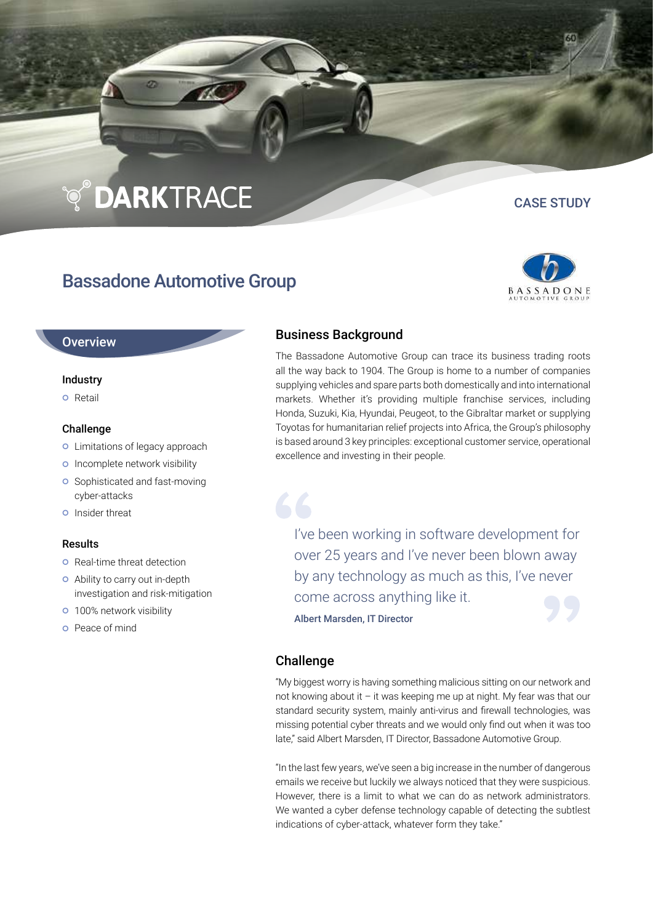# ণ্ড়**DARK**TRACE

## Bassadone Automotive Group

CASE STUDY



#### **Overview**

#### Industry

**o** Retail

#### Challenge

- **o** Limitations of legacy approach
- **o** Incomplete network visibility
- **o** Sophisticated and fast-moving cyber-attacks
- **o** Insider threat

#### Results

- **o** Real-time threat detection
- Ability to carry out in-depth investigation and risk-mitigation
- **o** 100% network visibility
- Peace of mind

### Business Background

The Bassadone Automotive Group can trace its business trading roots all the way back to 1904. The Group is home to a number of companies supplying vehicles and spare parts both domestically and into international markets. Whether it's providing multiple franchise services, including Honda, Suzuki, Kia, Hyundai, Peugeot, to the Gibraltar market or supplying Toyotas for humanitarian relief projects into Africa, the Group's philosophy is based around 3 key principles: exceptional customer service, operational excellence and investing in their people.

I've been working in software development for over 25 years and I've never been blown away by any technology as much as this, I've never come across anything like it.

Albert Marsden, IT Director

### Challenge

"My biggest worry is having something malicious sitting on our network and not knowing about it – it was keeping me up at night. My fear was that our standard security system, mainly anti-virus and firewall technologies, was missing potential cyber threats and we would only find out when it was too late," said Albert Marsden, IT Director, Bassadone Automotive Group.

"In the last few years, we've seen a big increase in the number of dangerous emails we receive but luckily we always noticed that they were suspicious. However, there is a limit to what we can do as network administrators. We wanted a cyber defense technology capable of detecting the subtlest indications of cyber-attack, whatever form they take."